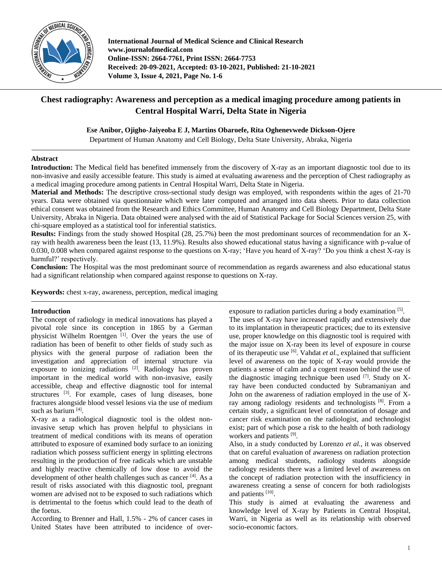

**International Journal of Medical Science and Clinical Research www.journalofmedical.com Online-ISSN: 2664-7761, Print ISSN: 2664-7753 Received: 20-09-2021, Accepted: 03-10-2021, Published: 21-10-2021 Volume 3, Issue 4, 2021, Page No. 1-6**

# **Chest radiography: Awareness and perception as a medical imaging procedure among patients in Central Hospital Warri, Delta State in Nigeria**

**Ese Anibor, Ojigho-Jaiyeoba E J, Martins Obaroefe, Rita Oghenevwede Dickson-Ojere**

Department of Human Anatomy and Cell Biology, Delta State University, Abraka, Nigeria

## **Abstract**

**Introduction:** The Medical field has benefited immensely from the discovery of X-ray as an important diagnostic tool due to its non-invasive and easily accessible feature. This study is aimed at evaluating awareness and the perception of Chest radiography as a medical imaging procedure among patients in Central Hospital Warri, Delta State in Nigeria.

**Material and Methods:** The descriptive cross-sectional study design was employed, with respondents within the ages of 21-70 years. Data were obtained via questionnaire which were later computed and arranged into data sheets. Prior to data collection ethical consent was obtained from the Research and Ethics Committee, Human Anatomy and Cell Biology Department, Delta State University, Abraka in Nigeria. Data obtained were analysed with the aid of Statistical Package for Social Sciences version 25, with chi-square employed as a statistical tool for inferential statistics.

**Results:** Findings from the study showed Hospital (28, 25.7%) been the most predominant sources of recommendation for an Xray with health awareness been the least (13, 11.9%). Results also showed educational status having a significance with p-value of 0.030, 0.008 when compared against response to the questions on X-ray; 'Have you heard of X-ray? 'Do you think a chest X-ray is harmful?' respectively.

**Conclusion:** The Hospital was the most predominant source of recommendation as regards awareness and also educational status had a significant relationship when compared against response to questions on X-ray.

**Keywords:** chest x-ray, awareness, perception, medical imaging

## **Introduction**

The concept of radiology in medical innovations has played a pivotal role since its conception in 1865 by a German physicist Wilhelm Roentgen<sup>[1]</sup>. Over the years the use of radiation has been of benefit to other fields of study such as physics with the general purpose of radiation been the investigation and appreciation of internal structure via exposure to ionizing radiations  $[2]$ . Radiology has proven important in the medical world with non-invasive, easily accessible, cheap and effective diagnostic tool for internal structures  $^{[3]}$ . For example, cases of lung diseases, bone fractures alongside blood vessel lesions via the use of medium such as barium [4].

X-ray as a radiological diagnostic tool is the oldest noninvasive setup which has proven helpful to physicians in treatment of medical conditions with its means of operation attributed to exposure of examined body surface to an ionizing radiation which possess sufficient energy in splitting electrons resulting in the production of free radicals which are unstable and highly reactive chemically of low dose to avoid the development of other health challenges such as cancer [4]. As a result of risks associated with this diagnostic tool, pregnant women are advised not to be exposed to such radiations which is detrimental to the foetus which could lead to the death of the foetus.

According to Brenner and Hall, 1.5% - 2% of cancer cases in United States have been attributed to incidence of over-

exposure to radiation particles during a body examination [5]. The uses of X-ray have increased rapidly and extensively due to its implantation in therapeutic practices; due to its extensive use, proper knowledge on this diagnostic tool is required with the major issue on X-ray been its level of exposure in course of its therapeutic use [6] . Vahdat *et al.,* explained that sufficient level of awareness on the topic of X-ray would provide the patients a sense of calm and a cogent reason behind the use of the diagnostic imaging technique been used  $[7]$ . Study on Xray have been conducted conducted by Subramaniyan and John on the awareness of radiation employed in the use of Xray among radiology residents and technologists [8]. From a certain study, a significant level of connotation of dosage and cancer risk examination on the radiologist, and technologist exist; part of which pose a risk to the health of both radiology workers and patients [9].

Also, in a study conducted by Lorenzo *et al.,* it was observed that on careful evaluation of awareness on radiation protection among medical students, radiology students alongside radiology residents there was a limited level of awareness on the concept of radiation protection with the insufficiency in awareness creating a sense of concern for both radiologists and patients [10].

This study is aimed at evaluating the awareness and knowledge level of X-ray by Patients in Central Hospital, Warri, in Nigeria as well as its relationship with observed socio-economic factors.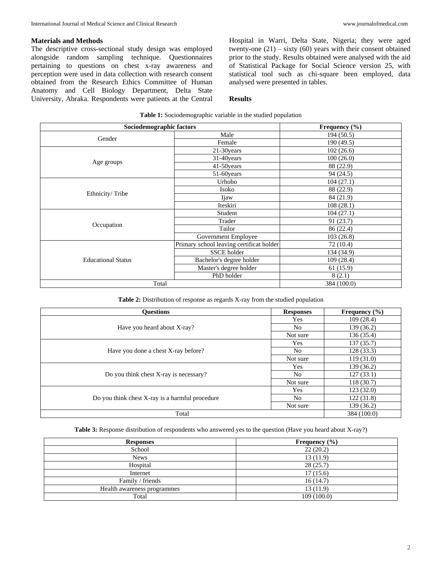## **Materials and Methods**

The descriptive cross-sectional study design was employed alongside random sampling technique. Questionnaires pertaining to questions on chest x-ray awareness and perception were used in data collection with research consent obtained from the Research Ethics Committee of Human Anatomy and Cell Biology Department, Delta State University, Abraka. Respondents were patients at the Central Hospital in Warri, Delta State, Nigeria; they were aged twenty-one  $(21)$  – sixty  $(60)$  years with their consent obtained prior to the study. Results obtained were analysed with the aid of Statistical Package for Social Science version 25, with statistical tool such as chi-square been employed, data analysed were presented in tables.

#### **Results**

|                           | Sociodemographic factors                 | Frequency $(\% )$ |
|---------------------------|------------------------------------------|-------------------|
|                           | Male                                     | 194(50.5)         |
| Gender                    | Female                                   | 190 (49.5)        |
|                           | 21-30years                               | 102(26.6)         |
|                           | 31-40years                               | 100(26.0)         |
| Age groups                | 41-50years                               | 88 (22.9)         |
|                           | 51-60years                               | 94 (24.5)         |
| Ethnicity/Tribe           | Urhobo                                   | 104(27.1)         |
|                           | Isoko                                    | 88 (22.9)         |
|                           | Ijaw                                     | 84 (21.9)         |
|                           | Iteskiri                                 | 108(28.1)         |
|                           | Student                                  | 104(27.1)         |
|                           | Trader                                   | 91(23.7)          |
| Occupation                | Tailor                                   | 86 (22.4)         |
|                           | Government Employee                      | 103(26.8)         |
|                           | Primary school leaving certificat holder | 72 (10.4)         |
| <b>Educational Status</b> | <b>SSCE</b> holder                       | 134 (34.9)        |
|                           | Bachelor's degree holder                 | 109(28.4)         |
|                           | Master's degree holder                   | 61 (15.9)         |
|                           | PhD holder                               | 8(2.1)            |
|                           | Total                                    | 384 (100.0)       |

**Table 1:** Sociodemographic variable in the studied population

**Table 2:** Distribution of response as regards X-ray from the studied population

| <b>Ouestions</b>                                | <b>Responses</b> | Frequency $(\% )$ |
|-------------------------------------------------|------------------|-------------------|
|                                                 | Yes              | 109(28.4)         |
| Have you heard about X-ray?                     | No.              | 139 (36.2)        |
|                                                 | Not sure         | 136(35.4)         |
|                                                 | Yes              | 137(35.7)         |
| Have you done a chest X-ray before?             | No.              | 128(33.3)         |
|                                                 | Not sure         | 119(31.0)         |
|                                                 | Yes              | 139(36.2)         |
| Do you think chest X-ray is necessary?          | No.              | 127(33.1)         |
|                                                 | Not sure         | 118(30.7)         |
|                                                 | Yes              | 123(32.0)         |
| Do you think chest X-ray is a harmful procedure | No.              | 122(31.8)         |
|                                                 | Not sure         | 139 (36.2)        |
| Total                                           |                  | 384 (100.0)       |

**Table 3:** Response distribution of respondents who answered yes to the question (Have you heard about X-ray?)

| <b>Responses</b>            | Frequency $(\% )$ |
|-----------------------------|-------------------|
| School                      | 22(20.2)          |
| <b>News</b>                 | 13(11.9)          |
| Hospital                    | 28(25.7)          |
| Internet                    | 17(15.6)          |
| Family / friends            | 16(14.7)          |
| Health awareness programmes | 13(11.9)          |
| Total                       | 109(100.0)        |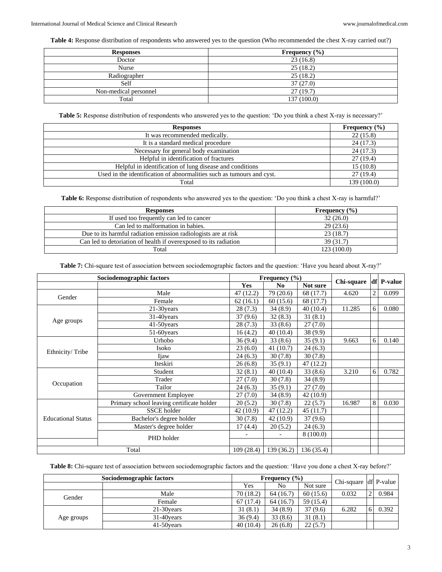**Table 4:** Response distribution of respondents who answered yes to the question (Who recommended the chest X-ray carried out?)

| <b>Responses</b>      | Frequency $(\% )$ |
|-----------------------|-------------------|
| Doctor                | 23(16.8)          |
| Nurse                 | 25(18.2)          |
| Radiographer          | 25(18.2)          |
| Self                  | 37(27.0)          |
| Non-medical personnel | 27(19.7)          |
| Total                 | 137 (100.0)       |

**Table 5:** Response distribution of respondents who answered yes to the question: 'Do you think a chest X-ray is necessary?'

| <b>Responses</b>                                                      | Frequency $(\% )$ |
|-----------------------------------------------------------------------|-------------------|
| It was recommended medically.                                         | 22(15.8)          |
| It is a standard medical procedure                                    | 24(17.3)          |
| Necessary for general body examination                                | 24(17.3)          |
| Helpful in identification of fractures                                | 27(19.4)          |
| Helpful in identification of lung disease and conditions              | 15(10.8)          |
| Used in the identification of abnormalities such as tumours and cyst. | 27(19.4)          |
| Total                                                                 | 139 (100.0)       |

**Table 6:** Response distribution of respondents who answered yes to the question: 'Do you think a chest X-ray is harmful?'

| <b>Responses</b>                                                 | Frequency $(\% )$ |
|------------------------------------------------------------------|-------------------|
| If used too frequently can led to cancer                         | 32(26.0)          |
| Can led to malformation in babies.                               | 29(23.6)          |
| Due to its harmful radiation emission radiologists are at risk   | 23(18.7)          |
| Can led to detoriation of health if overexposed to its radiation | 39(31.7)          |
| Total                                                            | 123(100.0)        |

**Table 7:** Chi-square test of association between sociodemographic factors and the question: 'Have you heard about X-ray?'

| Sociodemographic factors  |                                           |           | Frequency $(\% )$ |           |            |                |            |
|---------------------------|-------------------------------------------|-----------|-------------------|-----------|------------|----------------|------------|
|                           |                                           | Yes       | No                | Not sure  | Chi-square |                | df P-value |
| Gender                    | Male                                      | 47(12.2)  | 79 (20.6)         | 68 (17.7) | 4.620      | $\overline{2}$ | 0.099      |
|                           | Female                                    | 62(16.1)  | 60(15.6)          | 68 (17.7) |            |                |            |
|                           | 21-30years                                | 28(7.3)   | 34(8.9)           | 40(10.4)  | 11.285     | 6              | 0.080      |
|                           | 31-40 years                               | 37(9.6)   | 32(8.3)           | 31(8.1)   |            |                |            |
| Age groups                | 41-50years                                | 28(7.3)   | 33(8.6)           | 27(7.0)   |            |                |            |
|                           | 51-60 years                               | 16(4.2)   | 40(10.4)          | 38 (9.9)  |            |                |            |
|                           | Urhobo                                    | 36(9.4)   | 33(8.6)           | 35(9.1)   | 9.663      | 6              | 0.140      |
| Ethnicity/Tribe           | Isoko                                     | 23(6.0)   | 41(10.7)          | 24(6.3)   |            |                |            |
|                           | Ijaw                                      | 24(6.3)   | 30(7.8)           | 30(7.8)   |            |                |            |
|                           | Iteskiri                                  | 26(6.8)   | 35(9.1)           | 47 (12.2) |            |                |            |
|                           | Student                                   | 32(8.1)   | 40(10.4)          | 33(8.6)   | 3.210      | 6              | 0.782      |
|                           | Trader                                    | 27(7.0)   | 30(7.8)           | 34(8.9)   |            |                |            |
| Occupation                | Tailor                                    | 24(6.3)   | 35(9.1)           | 27(7.0)   |            |                |            |
|                           | Government Employee                       | 27(7.0)   | 34(8.9)           | 42 (10.9) |            |                |            |
|                           | Primary school leaving certificate holder | 20(5.2)   | 30(7.8)           | 22(5.7)   | 16.987     | 8              | 0.030      |
|                           | <b>SSCE</b> holder                        | 42 (10.9) | 47(12.2)          | 45(11.7)  |            |                |            |
| <b>Educational Status</b> | Bachelor's degree holder                  | 30(7.8)   | 42(10.9)          | 37(9.6)   |            |                |            |
|                           | Master's degree holder                    | 17(4.4)   | 20(5.2)           | 24(6.3)   |            |                |            |
|                           | PHD holder                                |           |                   | 8(100.0)  |            |                |            |
|                           |                                           |           |                   |           |            |                |            |
|                           | Total                                     | 109(28.4) | 139(36.2)         | 136(35.4) |            |                |            |

**Table 8:** Chi-square test of association between sociodemographic factors and the question: 'Have you done a chest X-ray before?'

| Sociodemographic factors |             | Frequency $(\% )$ |          |           | Chi-square df P-value |       |
|--------------------------|-------------|-------------------|----------|-----------|-----------------------|-------|
|                          |             | Yes               | No       | Not sure  |                       |       |
| Gender                   | Male        | 70(18.2)          | 64(16.7) | 60(15.6)  | 0.032                 | 0.984 |
|                          | Female      | 67(17.4)          | 64(16.7) | 59 (15.4) |                       |       |
|                          | 21-30 years | 31(8.1)           | 34(8.9)  | 37(9.6)   | 6.282                 | 0.392 |
| Age groups               | 31-40 vears | 36(9.4)           | 33(8.6)  | 31(8.1)   |                       |       |
|                          | 41-50 years | 40(10.4)          | 26(6.8)  | 22(5.7)   |                       |       |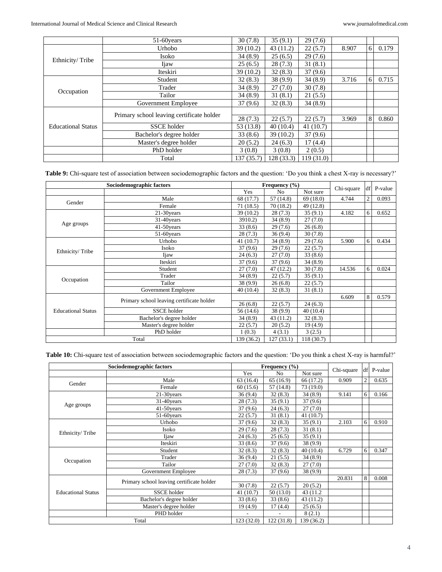|                           | 51-60 years                               | 30(7.8)   | 35(9.1)    | 29(7.6)    |       |                |       |
|---------------------------|-------------------------------------------|-----------|------------|------------|-------|----------------|-------|
|                           | Urhobo                                    | 39(10.2)  | 43(11.2)   | 22(5.7)    | 8.907 | 6 <sup>1</sup> | 0.179 |
| Ethnicity/Tribe           | Isoko                                     | 34(8.9)   | 25(6.5)    | 29(7.6)    |       |                |       |
|                           | Ijaw                                      | 25(6.5)   | 28(7.3)    | 31(8.1)    |       |                |       |
|                           | Iteskiri                                  | 39(10.2)  | 32(8.3)    | 37(9.6)    |       |                |       |
|                           | Student                                   | 32(8.3)   | 38(9.9)    | 34(8.9)    | 3.716 | 6              | 0.715 |
|                           | Trader                                    | 34(8.9)   | 27(7.0)    | 30(7.8)    |       |                |       |
| Occupation                | Tailor                                    | 34(8.9)   | 31(8.1)    | 21(5.5)    |       |                |       |
|                           | Government Employee                       | 37(9.6)   | 32(8.3)    | 34(8.9)    |       |                |       |
|                           |                                           |           |            |            |       |                |       |
|                           | Primary school leaving certificate holder | 28(7.3)   | 22(5.7)    | 22(5.7)    | 3.969 | 8              | 0.860 |
| <b>Educational Status</b> | <b>SSCE</b> holder                        | 53(13.8)  | 40(10.4)   | 41(10.7)   |       |                |       |
|                           | Bachelor's degree holder                  | 33(8.6)   | 39(10.2)   | 37(9.6)    |       |                |       |
|                           | Master's degree holder                    | 20(5.2)   | 24(6.3)    | 17(4.4)    |       |                |       |
|                           | PhD holder                                | 3(0.8)    | 3(0.8)     | 2(0.5)     |       |                |       |
|                           | Total                                     | 137(35.7) | 128 (33.3) | 119 (31.0) |       |                |       |

**Table 9:** Chi-square test of association between sociodemographic factors and the question: 'Do you think a chest X-ray is necessary?'

| Sociodemographic factors  |                                           |            | Frequency $(\% )$ |            |            | df | P-value |
|---------------------------|-------------------------------------------|------------|-------------------|------------|------------|----|---------|
|                           |                                           | Yes        | N <sub>o</sub>    | Not sure   | Chi-square |    |         |
| Gender                    | Male                                      | 68 (17.7)  | 57(14.8)          | 69(18.0)   | 4.744      | 2  | 0.093   |
|                           | Female                                    | 71(18.5)   | 70(18.2)          | 49(12.8)   |            |    |         |
|                           | 21-30 years                               | 39 (10.2)  | 28(7.3)           | 35(9.1)    | 4.182      | 6  | 0.652   |
|                           | 31-40years                                | 3910.2)    | 34(8.9)           | 27(7.0)    |            |    |         |
| Age groups                | 41-50 years                               | 33(8.6)    | 29(7.6)           | 26(6.8)    |            |    |         |
|                           | 51-60 years                               | 28(7.3)    | 36(9.4)           | 30(7.8)    |            |    |         |
|                           | Urhobo                                    | 41(10.7)   | 34(8.9)           | 29(7.6)    | 5.900      | 6  | 0.434   |
| Ethnicity/Tribe           | Isoko                                     | 37(9.6)    | 29(7.6)           | 22(5.7)    |            |    |         |
|                           | Ijaw                                      | 24(6.3)    | 27(7.0)           | 33(8.6)    |            |    |         |
|                           | Iteskiri                                  | 37(9.6)    | 37(9.6)           | 34(8.9)    |            |    |         |
|                           | Student                                   | 27(7.0)    | 47(12.2)          | 30(7.8)    | 14.536     | 6  | 0.024   |
|                           | Trader                                    | 34(8.9)    | 22(5.7)           | 35(9.1)    |            |    |         |
| Occupation                | Tailor                                    | 38(9.9)    | 26(6.8)           | 22(5.7)    |            |    |         |
|                           | Government Employee                       | 40(10.4)   | 32(8.3)           | 31(8.1)    |            |    |         |
|                           | Primary school leaving certificate holder |            |                   |            | 6.609      | 8  | 0.579   |
|                           |                                           | 26(6.8)    | 22(5.7)           | 24(6.3)    |            |    |         |
| <b>Educational Status</b> | <b>SSCE</b> holder                        | 56 (14.6)  | 38 (9.9)          | 40(10.4)   |            |    |         |
|                           | Bachelor's degree holder                  | 34 (8.9)   | 43 (11.2)         | 32(8.3)    |            |    |         |
|                           | Master's degree holder                    | 22(5.7)    | 20(5.2)           | 19(4.9)    |            |    |         |
|                           | PhD holder                                | 1(0.3)     | 4(3.1)            | 3(2.5)     |            |    |         |
|                           | Total                                     | 139 (36.2) | 127 (33.1)        | 118 (30.7) |            |    |         |

**Table 10:** Chi-square test of association between sociodemographic factors and the question: 'Do you think a chest X-ray is harmful?'

|                           | Sociodemographic factors                  |            | Frequency $(\% )$        |            |            | df | P-value |
|---------------------------|-------------------------------------------|------------|--------------------------|------------|------------|----|---------|
|                           |                                           | Yes        | N <sub>o</sub>           | Not sure   | Chi-square |    |         |
| Gender                    | Male                                      | 63 (16.4)  | 65 (16.9)                | 66 (17.2)  | 0.909      | 2  | 0.635   |
|                           | Female                                    | 60(15.6)   | 57(14.8)                 | 73(19.0)   |            |    |         |
|                           | 21-30years                                | 36(9.4)    | 32(8.3)                  | 34(8.9)    | 9.141      | 6  | 0.166   |
|                           | 31-40years                                | 28(7.3)    | 35(9.1)                  | 37(9.6)    |            |    |         |
| Age groups                | 41-50years                                | 37(9.6)    | 24(6.3)                  | 27(7.0)    |            |    |         |
|                           | 51-60 years                               | 22(5.7)    | 31(8.1)                  | 41 (10.7)  |            |    |         |
|                           | Urhobo                                    | 37(9.6)    | 32(8.3)                  | 35(9.1)    | 2.103      | 6  | 0.910   |
| Ethnicity/Tribe           | Isoko                                     | 29(7.6)    | 28(7.3)                  | 31(8.1)    |            |    |         |
|                           | Ijaw                                      | 24(6.3)    | 25(6.5)                  | 35(9.1)    |            |    |         |
|                           | Iteskiri                                  | 33(8.6)    | 37(9.6)                  | 38(9.9)    |            |    |         |
|                           | Student                                   | 32(8.3)    | 32(8.3)                  | 40 (10.4)  | 6.729      | 6  | 0.347   |
| Occupation                | Trader                                    | 36(9.4)    | 21(5.5)                  | 34(8.9)    |            |    |         |
|                           | Tailor                                    | 27(7.0)    | 32(8.3)                  | 27(7.0)    |            |    |         |
|                           | Government Employee                       | 28(7.3)    | 37(9.6)                  | 38(9.9)    |            |    |         |
|                           | Primary school leaving certificate holder |            |                          |            | 20.831     | 8  | 0.008   |
|                           |                                           | 30(7.8)    | 22(5.7)                  | 20(5.2)    |            |    |         |
| <b>Educational Status</b> | <b>SSCE</b> holder                        | 41 (10.7)  | 50(13.0)                 | 43 (11.2)  |            |    |         |
|                           | Bachelor's degree holder                  | 33(8.6)    | 33(8.6)                  | 43 (11.2)  |            |    |         |
|                           | Master's degree holder                    | 19 (4.9)   | 17(4.4)                  | 25(6.5)    |            |    |         |
|                           | PHD holder                                |            | $\overline{\phantom{a}}$ | 8(2.1)     |            |    |         |
| Total                     |                                           | 123 (32.0) | 122(31.8)                | 139 (36.2) |            |    |         |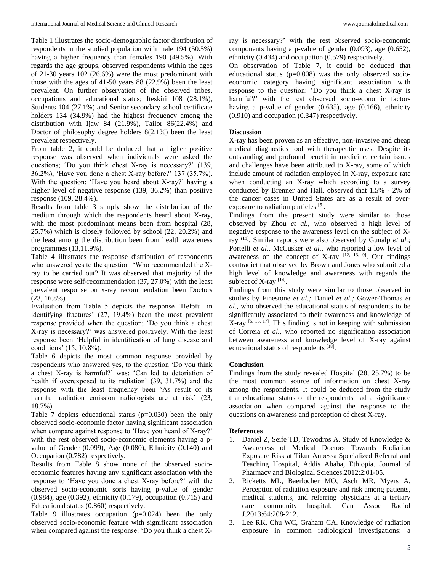Table 1 illustrates the socio-demographic factor distribution of respondents in the studied population with male 194 (50.5%) having a higher frequency than females 190 (49.5%). With regards the age groups, observed respondents within the ages of 21-30 years 102 (26.6%) were the most predominant with those with the ages of 41-50 years 88 (22.9%) been the least prevalent. On further observation of the observed tribes, occupations and educational status; Iteskiri 108 (28.1%), Students 104 (27.1%) and Senior secondary school certificate holders 134 (34.9%) had the highest frequency among the distribution with Ijaw 84 (21.9%), Tailor 86(22.4%) and Doctor of philosophy degree holders 8(2.1%) been the least prevalent respectively.

From table 2, it could be deduced that a higher positive response was observed when individuals were asked the questions; 'Do you think chest X-ray is necessary?' (139, 36.2%), 'Have you done a chest X-ray before?' 137 (35.7%). With the question; 'Have you heard about X-ray?' having a higher level of negative response (139, 36.2%) than positive response (109, 28.4%).

Results from table 3 simply show the distribution of the medium through which the respondents heard about X-ray, with the most predominant means been from hospital (28, 25.7%) which is closely followed by school (22, 20.2%) and the least among the distribution been from health awareness programmes (13,11.9%).

Table 4 illustrates the response distribution of respondents who answered yes to the question: 'Who recommended the Xray to be carried out? It was observed that majority of the response were self-recommendation (37, 27.0%) with the least prevalent response on x-ray recommendation been Doctors (23, 16.8%)

Evaluation from Table 5 depicts the response 'Helpful in identifying fractures' (27, 19.4%) been the most prevalent response provided when the question; 'Do you think a chest X-ray is necessary?' was answered positively. With the least response been 'Helpful in identification of lung disease and conditions' (15, 10.8%).

Table 6 depicts the most common response provided by respondents who answered yes, to the question 'Do you think a chest X-ray is harmful?' was: 'Can led to detoriation of health if overexposed to its radiation' (39, 31.7%) and the response with the least frequency been 'As result of its harmful radiation emission radiologists are at risk' (23, 18.7%).

Table 7 depicts educational status  $(p=0.030)$  been the only observed socio-economic factor having significant association when compare against response to 'Have you heard of X-ray?' with the rest observed socio-economic elements having a pvalue of Gender (0.099), Age (0.080), Ethnicity (0.140) and Occupation (0.782) respectively.

Results from Table 8 show none of the observed socioeconomic features having any significant association with the response to 'Have you done a chest X-ray before?' with the observed socio-economic sorts having p-value of gender (0.984), age (0.392), ethnicity (0.179), occupation (0.715) and Educational status (0.860) respectively.

Table 9 illustrates occupation (p=0.024) been the only observed socio-economic feature with significant association when compared against the response: 'Do you think a chest X-

ray is necessary?' with the rest observed socio-economic components having a p-value of gender (0.093), age (0.652), ethnicity (0.434) and occupation (0.579) respectively.

On observation of Table 7, it could be deduced that educational status (p=0.008) was the only observed socioeconomic category having significant association with response to the question: 'Do you think a chest X-ray is harmful?' with the rest observed socio-economic factors having a p-value of gender (0.635), age (0.166), ethnicity (0.910) and occupation (0.347) respectively.

### **Discussion**

X-ray has been proven as an effective, non-invasive and cheap medical diagnostics tool with therapeutic uses. Despite its outstanding and profound benefit in medicine, certain issues and challenges have been attributed to X-ray, some of which include amount of radiation employed in X-ray, exposure rate when conducting an X-ray which according to a survey conducted by Brenner and Hall, observed that 1.5% - 2% of the cancer cases in United States are as a result of overexposure to radiation particles [5].

Findings from the present study were similar to those observed by Zhou *et al.,* who observed a high level of negative response to the awareness level on the subject of Xray (11). Similar reports were also observed by Günalp *et al.;* Portelli *et al.,* McCusker *et al.,* who reported a low level of awareness on the concept of X-ray  $[12, 13, 9]$ . Our findings contradict that observed by Brown and Jones who submitted a high level of knowledge and awareness with regards the subject of X-ray [14].

Findings from this study were similar to those observed in studies by Finestone *et al.;* Daniel *et al.;* Gower-Thomas *et al.,* who observed the educational status of respondents to be significantly associated to their awareness and knowledge of  $X$ -ray  $[5, 16, 17]$ . This finding is not in keeping with submission of Correia *et al.,* who reported no signification association between awareness and knowledge level of X-ray against educational status of respondents [18].

### **Conclusion**

Findings from the study revealed Hospital (28, 25.7%) to be the most common source of information on chest X-ray among the respondents. It could be deduced from the study that educational status of the respondents had a significance association when compared against the response to the questions on awareness and perception of chest X-ray.

#### **References**

- 1. Daniel Z, Seife TD, Tewodros A. Study of Knowledge & Awareness of Medical Doctors Towards Radiation Exposure Risk at Tikur Anbessa Specialized Referral and Teaching Hospital, Addis Ababa, Ethiopia. Journal of Pharmacy and Biological Sciences,2012:2:01-05.
- 2. Ricketts ML, Baerlocher MO, Asch MR, Myers A. Perception of radiation exposure and risk among patients, medical students, and referring physicians at a tertiary care community hospital. Can Assoc Radiol J,2013:64:208-212.
- 3. Lee RK, Chu WC, Graham CA. Knowledge of radiation exposure in common radiological investigations: a